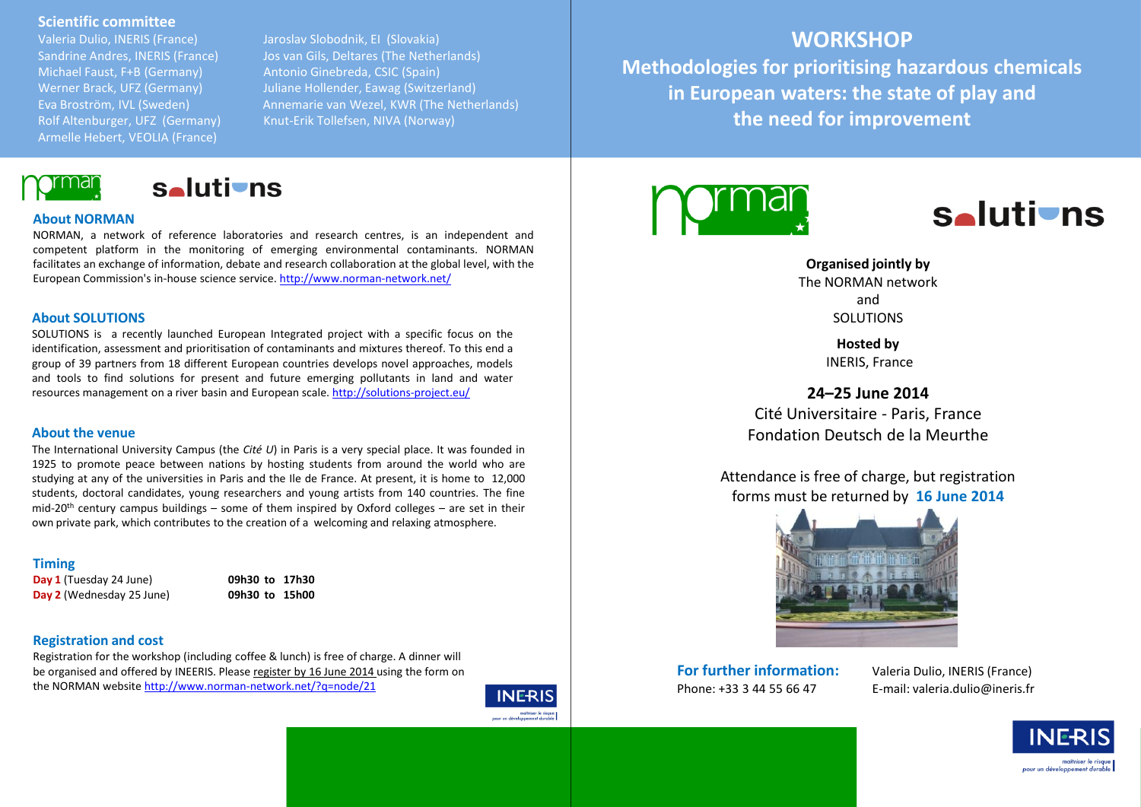# **Scientific committee**

Valeria Dulio, INERIS (France) Jaroslav Slobodnik, EI (Slovakia) Michael Faust, F+B (Germany) Antonio Ginebreda, CSIC (Spain) Armelle Hebert, VEOLIA (France)

Sandrine Andres, INERIS (France) Jos van Gils, Deltares (The Netherlands) Werner Brack, UFZ (Germany) Juliane Hollender, Eawag (Switzerland) Eva Broström, IVL (Sweden) Annemarie van Wezel, KWR (The Netherlands) Rolf Altenburger, UFZ (Germany) Knut-Erik Tollefsen, NIVA (Norway)

# **WORKSHOP**

**Methodologies for prioritising hazardous chemicals in European waters: the state of play and the need for improvement**



**s** 

# **About NORMAN**

NORMAN, a network of reference laboratories and research centres, is an independent and competent platform in the monitoring of emerging environmental contaminants. NORMAN facilitates an exchange of information, debate and research collaboration at the global level, with the European Commission's in-house science service. <http://www.norman-network.net/>

# **About SOLUTIONS**

SOLUTIONS is a recently launched European Integrated project with a specific focus on the identification, assessment and prioritisation of contaminants and mixtures thereof. To this end a group of 39 partners from 18 different European countries develops novel approaches, models and tools to find solutions for present and future emerging pollutants in land and water resources management on a river basin and European scale. <http://solutions-project.eu/>

## **About the venue**

The International University Campus (the *Cité U*) in Paris is a very special place. It was founded in 1925 to promote peace between nations by hosting students from around the world who are studying at any of the universities in Paris and the Ile de France. At present, it is home to 12,000 students, doctoral candidates, young researchers and young artists from 140 countries. The fine mid-20<sup>th</sup> century campus buildings – some of them inspired by Oxford colleges – are set in their own private park, which contributes to the creation of a welcoming and relaxing atmosphere.

## **Timing**

**Day 1** (Tuesday 24 June) **09h30 to 17h30 Day 2** (Wednesday 25 June) **09h30 to 15h00** 

# **Registration and cost**

Registration for the workshop (including coffee & lunch) is free of charge. A dinner will be organised and offered by INEERIS. Please register by 16 June 2014 using the form on the NORMAN website <http://www.norman-network.net/?q=node/21>







# **Organised jointly by** The NORMAN network and SOLUTIONS

**Hosted by**

INERIS, France

# **24–25 June 2014**

Cité Universitaire - Paris, France Fondation Deutsch de la Meurthe

Attendance is free of charge, but registration forms must be returned by **16 June 2014**



**For further information:** Valeria Dulio, INERIS (France)

Phone: +33 3 44 55 66 47 E-mail: valeria.dulio@ineris.fr

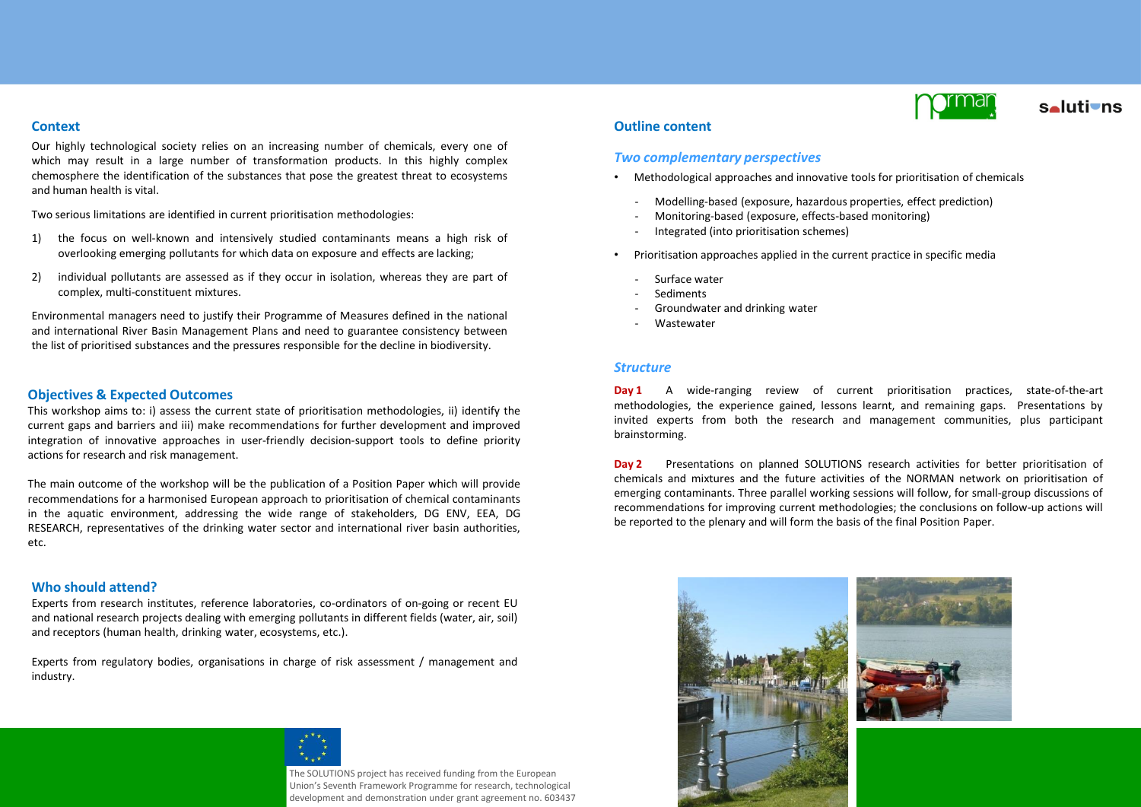# **Context**

Our highly technological society relies on an increasing number of chemicals, every one of which may result in a large number of transformation products. In this highly complex chemosphere the identification of the substances that pose the greatest threat to ecosystems and human health is vital.

Two serious limitations are identified in current prioritisation methodologies:

- 1) the focus on well-known and intensively studied contaminants means a high risk of overlooking emerging pollutants for which data on exposure and effects are lacking;
- 2) individual pollutants are assessed as if they occur in isolation, whereas they are part of complex, multi-constituent mixtures.

Environmental managers need to justify their Programme of Measures defined in the national and international River Basin Management Plans and need to guarantee consistency between the list of prioritised substances and the pressures responsible for the decline in biodiversity.

# **Objectives & Expected Outcomes**

This workshop aims to: i) assess the current state of prioritisation methodologies, ii) identify the current gaps and barriers and iii) make recommendations for further development and improved integration of innovative approaches in user-friendly decision-support tools to define priority actions for research and risk management.

The main outcome of the workshop will be the publication of a Position Paper which will provide recommendations for a harmonised European approach to prioritisation of chemical contaminants in the aquatic environment, addressing the wide range of stakeholders, DG ENV, EEA, DG RESEARCH, representatives of the drinking water sector and international river basin authorities, etc.

# **Who should attend?**

Experts from research institutes, reference laboratories, co-ordinators of on-going or recent EU and national research projects dealing with emerging pollutants in different fields (water, air, soil) and receptors (human health, drinking water, ecosystems, etc.).

Experts from regulatory bodies, organisations in charge of risk assessment / management and industry.



The SOLUTIONS project has received funding from the European Union's Seventh Framework Programme for research, technological development and demonstration under grant agreement no. 603437



# **s**alutions

# **Outline content**

# *Two complementary perspectives*

- Methodological approaches and innovative tools for prioritisation of chemicals
	- ‐ Modelling-based (exposure, hazardous properties, effect prediction)
	- ‐ Monitoring-based (exposure, effects-based monitoring)
	- ‐ Integrated (into prioritisation schemes)
- Prioritisation approaches applied in the current practice in specific media
- ‐ Surface water
- ‐ Sediments
- ‐ Groundwater and drinking water
- **Wastewater**

# *Structure*

**Day 1** A wide-ranging review of current prioritisation practices, state-of-the-art methodologies, the experience gained, lessons learnt, and remaining gaps. Presentations by invited experts from both the research and management communities, plus participant brainstorming.

**Day 2** Presentations on planned SOLUTIONS research activities for better prioritisation of chemicals and mixtures and the future activities of the NORMAN network on prioritisation of emerging contaminants. Three parallel working sessions will follow, for small-group discussions of recommendations for improving current methodologies; the conclusions on follow-up actions will be reported to the plenary and will form the basis of the final Position Paper.



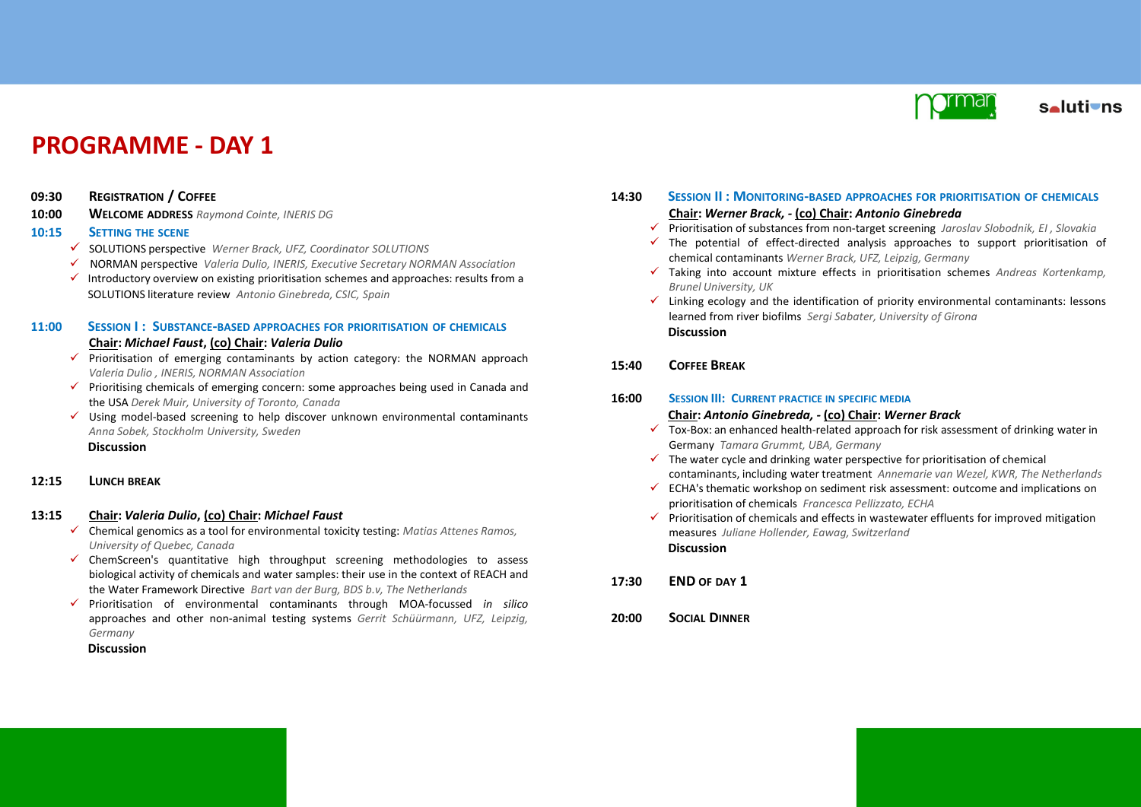

# **PROGRAMME - DAY 1**

- **09:30 REGISTRATION / COFFEE**
- **10:00 WELCOME ADDRESS** *Raymond Cointe, INERIS DG*

# **10:15 SETTING THE SCENE**

- SOLUTIONS perspective *Werner Brack, UFZ, Coordinator SOLUTIONS*
- NORMAN perspective *Valeria Dulio, INERIS, Executive Secretary NORMAN Association*
- Introductory overview on existing prioritisation schemes and approaches: results from a SOLUTIONS literature review *Antonio Ginebreda, CSIC, Spain*

# **11:00 SESSION I : SUBSTANCE-BASED APPROACHES FOR PRIORITISATION OF CHEMICALS**

# **Chair:** *Michael Faust***, (co) Chair:** *Valeria Dulio*

- $\checkmark$  Prioritisation of emerging contaminants by action category: the NORMAN approach *Valeria Dulio , INERIS, NORMAN Association*
- $\checkmark$  Prioritising chemicals of emerging concern: some approaches being used in Canada and the USA *Derek Muir, University of Toronto, Canada*
- $\checkmark$  Using model-based screening to help discover unknown environmental contaminants *Anna Sobek, Stockholm University, Sweden* **Discussion**

# **12:15 LUNCH BREAK**

# **13:15 Chair:** *Valeria Dulio***, (co) Chair:** *Michael Faust*

- Chemical genomics as a tool for environmental toxicity testing: *Matias Attenes Ramos, University of Quebec, Canada*
- $\checkmark$  ChemScreen's quantitative high throughput screening methodologies to assess biological activity of chemicals and water samples: their use in the context of REACH and the Water Framework Directive *Bart van der Burg, BDS b.v, The Netherlands*
- Prioritisation of environmental contaminants through MOA-focussed *in silico* approaches and other non-animal testing systems *Gerrit Schüürmann, UFZ, Leipzig, Germany*

# **Discussion**

- **14:30 SESSION II : MONITORING-BASED APPROACHES FOR PRIORITISATION OF CHEMICALS Chair:** *Werner Brack, -* **(co) Chair:** *Antonio Ginebreda*
	- Prioritisation of substances from non-target screening *Jaroslav Slobodnik, EI , Slovakia*
	- $\checkmark$  The potential of effect-directed analysis approaches to support prioritisation of chemical contaminants *Werner Brack, UFZ, Leipzig, Germany*
	- Taking into account mixture effects in prioritisation schemes *Andreas Kortenkamp, Brunel University, UK*
	- $\checkmark$  Linking ecology and the identification of priority environmental contaminants: lessons learned from river biofilms *Sergi Sabater, University of Girona* **Discussion**

# **15:40 COFFEE BREAK**

**16:00 SESSION III: CURRENT PRACTICE IN SPECIFIC MEDIA**

## **Chair:** *Antonio Ginebreda, -* **(co) Chair:** *Werner Brack*

- $\checkmark$  Tox-Box: an enhanced health-related approach for risk assessment of drinking water in Germany *Tamara Grummt, UBA, Germany*
- $\checkmark$  The water cycle and drinking water perspective for prioritisation of chemical contaminants, including water treatment *Annemarie van Wezel, KWR, The Netherlands*
- $\checkmark$  ECHA's thematic workshop on sediment risk assessment: outcome and implications on prioritisation of chemicals *Francesca Pellizzato, ECHA*
- $\checkmark$  Prioritisation of chemicals and effects in wastewater effluents for improved mitigation measures *Juliane Hollender, Eawag, Switzerland* **Discussion**
- **17:30 END OF DAY 1**
- **20:00 SOCIAL DINNER**